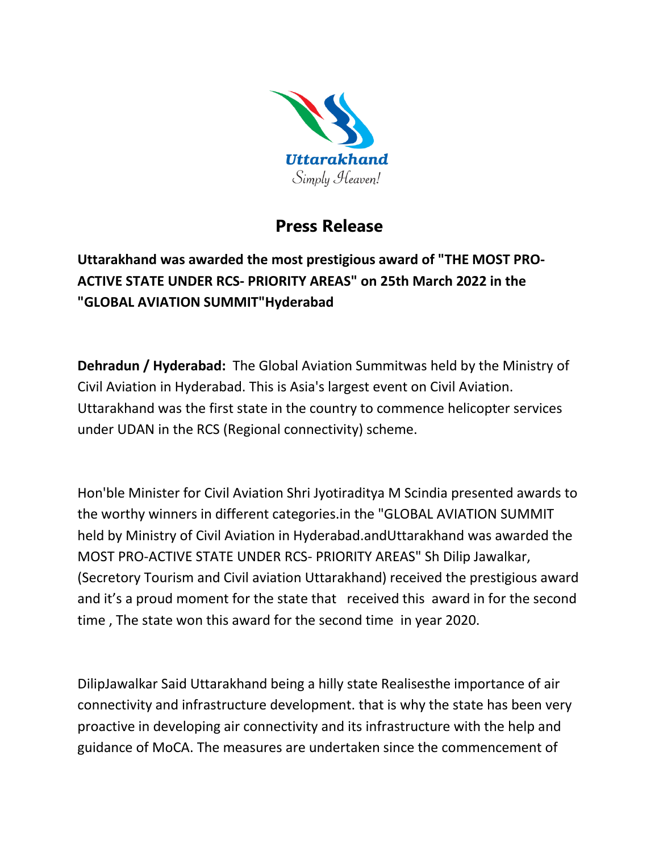

## **Press Release**

**Uttarakhand was awarded the most prestigious award of "THE MOST PRO-ACTIVE STATE UNDER RCS- PRIORITY AREAS" on 25th March 2022 in the "GLOBAL AVIATION SUMMIT"Hyderabad** 

**Dehradun / Hyderabad:** The Global Aviation Summitwas held by the Ministry of Civil Aviation in Hyderabad. This is Asia's largest event on Civil Aviation. Uttarakhand was the first state in the country to commence helicopter services under UDAN in the RCS (Regional connectivity) scheme.

Hon'ble Minister for Civil Aviation Shri Jyotiraditya M Scindia presented awards to the worthy winners in different categories.in the "GLOBAL AVIATION SUMMIT held by Ministry of Civil Aviation in Hyderabad.andUttarakhand was awarded the MOST PRO-ACTIVE STATE UNDER RCS- PRIORITY AREAS" Sh Dilip Jawalkar, (Secretory Tourism and Civil aviation Uttarakhand) received the prestigious award and it's a proud moment for the state that received this award in for the second time , The state won this award for the second time in year 2020.

DilipJawalkar Said Uttarakhand being a hilly state Realisesthe importance of air connectivity and infrastructure development. that is why the state has been very proactive in developing air connectivity and its infrastructure with the help and guidance of MoCA. The measures are undertaken since the commencement of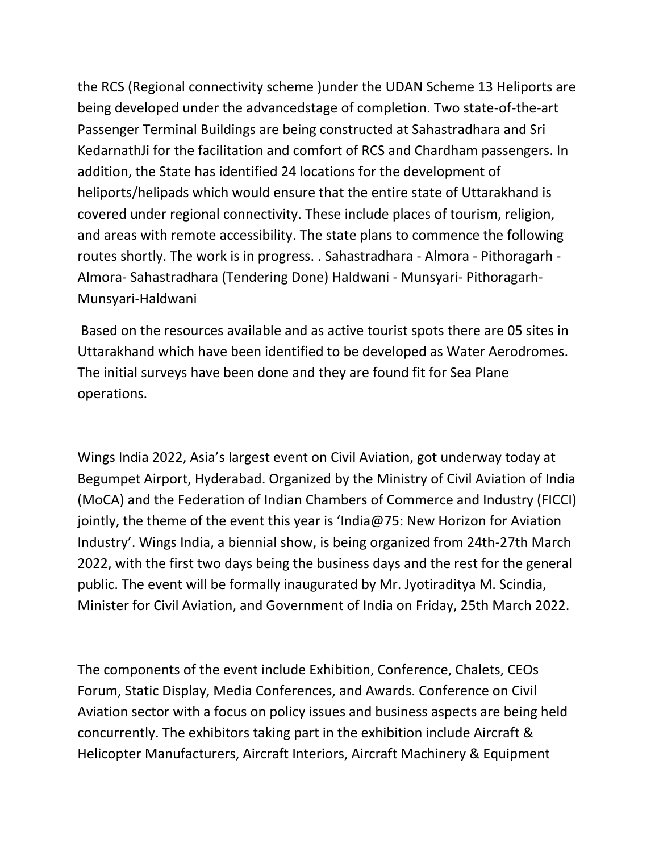the RCS (Regional connectivity scheme )under the UDAN Scheme 13 Heliports are being developed under the advancedstage of completion. Two state-of-the-art Passenger Terminal Buildings are being constructed at Sahastradhara and Sri KedarnathJi for the facilitation and comfort of RCS and Chardham passengers. In addition, the State has identified 24 locations for the development of heliports/helipads which would ensure that the entire state of Uttarakhand is covered under regional connectivity. These include places of tourism, religion, and areas with remote accessibility. The state plans to commence the following routes shortly. The work is in progress. . Sahastradhara - Almora - Pithoragarh - Almora- Sahastradhara (Tendering Done) Haldwani - Munsyari- Pithoragarh-Munsyari-Haldwani

Based on the resources available and as active tourist spots there are 05 sites in Uttarakhand which have been identified to be developed as Water Aerodromes. The initial surveys have been done and they are found fit for Sea Plane operations.

Wings India 2022, Asia's largest event on Civil Aviation, got underway today at Begumpet Airport, Hyderabad. Organized by the Ministry of Civil Aviation of India (MoCA) and the Federation of Indian Chambers of Commerce and Industry (FICCI) jointly, the theme of the event this year is 'India@75: New Horizon for Aviation Industry'. Wings India, a biennial show, is being organized from 24th-27th March 2022, with the first two days being the business days and the rest for the general public. The event will be formally inaugurated by Mr. Jyotiraditya M. Scindia, Minister for Civil Aviation, and Government of India on Friday, 25th March 2022.

The components of the event include Exhibition, Conference, Chalets, CEOs Forum, Static Display, Media Conferences, and Awards. Conference on Civil Aviation sector with a focus on policy issues and business aspects are being held concurrently. The exhibitors taking part in the exhibition include Aircraft & Helicopter Manufacturers, Aircraft Interiors, Aircraft Machinery & Equipment